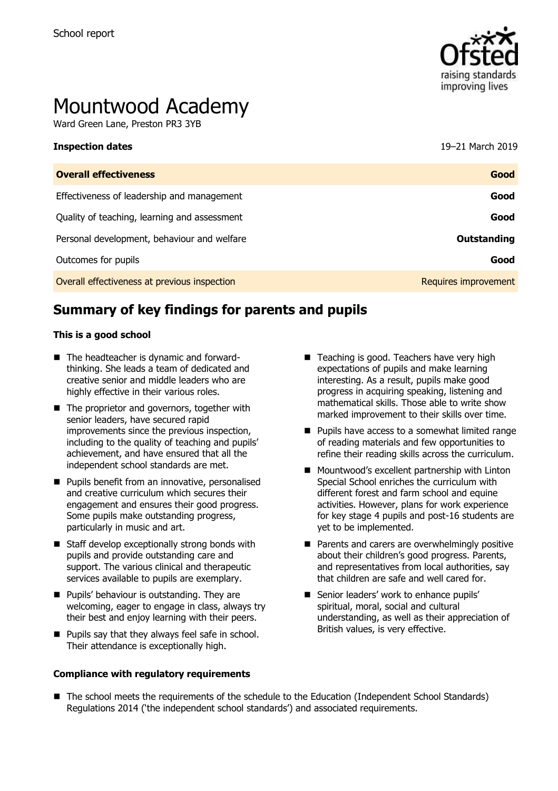

# Mountwood Academy

Ward Green Lane, Preston PR3 3YB

| <b>Inspection dates</b>                      | 19-21 March 2019     |
|----------------------------------------------|----------------------|
| <b>Overall effectiveness</b>                 | Good                 |
| Effectiveness of leadership and management   | Good                 |
| Quality of teaching, learning and assessment | Good                 |
| Personal development, behaviour and welfare  | <b>Outstanding</b>   |
| Outcomes for pupils                          | Good                 |
| Overall effectiveness at previous inspection | Requires improvement |

## **Summary of key findings for parents and pupils**

#### **This is a good school**

- The headteacher is dynamic and forwardthinking. She leads a team of dedicated and creative senior and middle leaders who are highly effective in their various roles.
- The proprietor and governors, together with senior leaders, have secured rapid improvements since the previous inspection, including to the quality of teaching and pupils' achievement, and have ensured that all the independent school standards are met.
- **Pupils benefit from an innovative, personalised** and creative curriculum which secures their engagement and ensures their good progress. Some pupils make outstanding progress, particularly in music and art.
- $\blacksquare$  Staff develop exceptionally strong bonds with pupils and provide outstanding care and support. The various clinical and therapeutic services available to pupils are exemplary.
- **Pupils' behaviour is outstanding. They are** welcoming, eager to engage in class, always try their best and enjoy learning with their peers.
- **Pupils say that they always feel safe in school.** Their attendance is exceptionally high.

#### **Compliance with regulatory requirements**

- Teaching is good. Teachers have very high expectations of pupils and make learning interesting. As a result, pupils make good progress in acquiring speaking, listening and mathematical skills. Those able to write show marked improvement to their skills over time.
- **Pupils have access to a somewhat limited range** of reading materials and few opportunities to refine their reading skills across the curriculum.
- **Mountwood's excellent partnership with Linton** Special School enriches the curriculum with different forest and farm school and equine activities. However, plans for work experience for key stage 4 pupils and post-16 students are yet to be implemented.
- $\blacksquare$  Parents and carers are overwhelmingly positive about their children's good progress. Parents, and representatives from local authorities, say that children are safe and well cared for.
- Senior leaders' work to enhance pupils' spiritual, moral, social and cultural understanding, as well as their appreciation of British values, is very effective.
- The school meets the requirements of the schedule to the Education (Independent School Standards) Regulations 2014 ('the independent school standards') and associated requirements.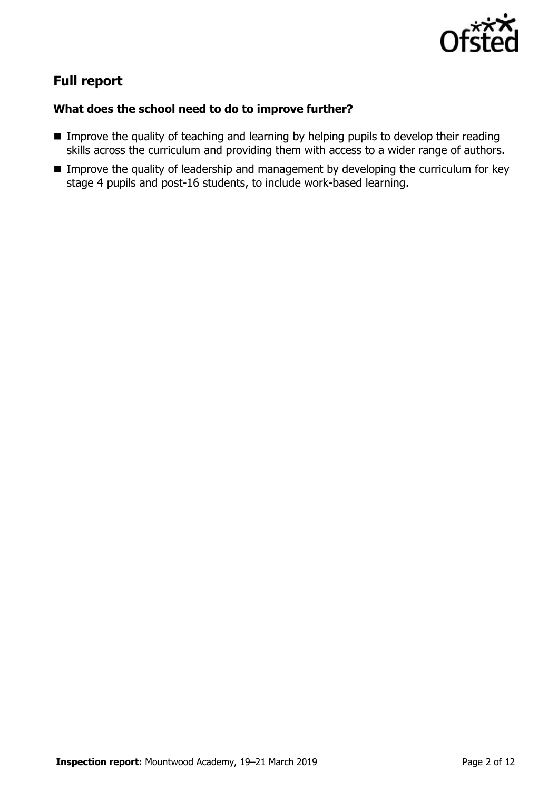

# **Full report**

## **What does the school need to do to improve further?**

- **IMPROVE the quality of teaching and learning by helping pupils to develop their reading** skills across the curriculum and providing them with access to a wider range of authors.
- **IMPROVE THE QUALITY OF LEADERSHIP AND MANAGEMENT CONCHOMOGET IN THE UP IN THE UP THE UP THE UP THE UP THE UP T** stage 4 pupils and post-16 students, to include work-based learning.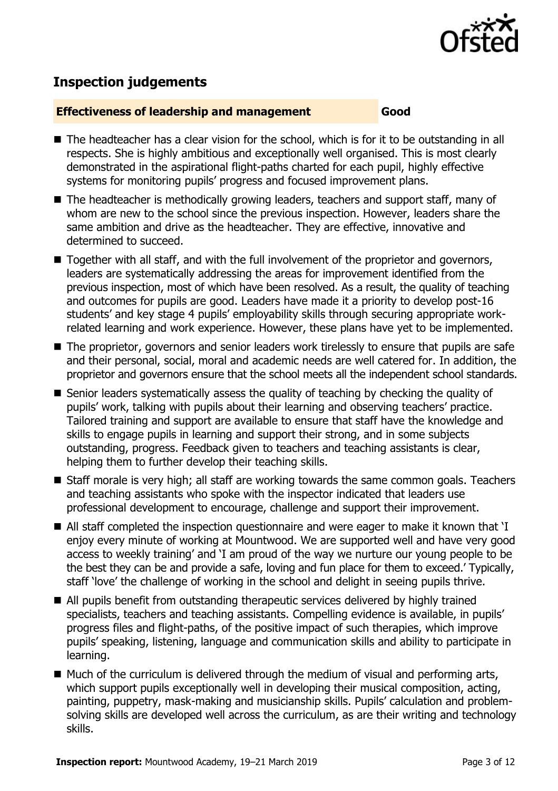

# **Inspection judgements**

#### **Effectiveness of leadership and management Good**

- The headteacher has a clear vision for the school, which is for it to be outstanding in all respects. She is highly ambitious and exceptionally well organised. This is most clearly demonstrated in the aspirational flight-paths charted for each pupil, highly effective systems for monitoring pupils' progress and focused improvement plans.
- The headteacher is methodically growing leaders, teachers and support staff, many of whom are new to the school since the previous inspection. However, leaders share the same ambition and drive as the headteacher. They are effective, innovative and determined to succeed.
- Together with all staff, and with the full involvement of the proprietor and governors, leaders are systematically addressing the areas for improvement identified from the previous inspection, most of which have been resolved. As a result, the quality of teaching and outcomes for pupils are good. Leaders have made it a priority to develop post-16 students' and key stage 4 pupils' employability skills through securing appropriate workrelated learning and work experience. However, these plans have yet to be implemented.
- The proprietor, governors and senior leaders work tirelessly to ensure that pupils are safe and their personal, social, moral and academic needs are well catered for. In addition, the proprietor and governors ensure that the school meets all the independent school standards.
- Senior leaders systematically assess the quality of teaching by checking the quality of pupils' work, talking with pupils about their learning and observing teachers' practice. Tailored training and support are available to ensure that staff have the knowledge and skills to engage pupils in learning and support their strong, and in some subjects outstanding, progress. Feedback given to teachers and teaching assistants is clear, helping them to further develop their teaching skills.
- Staff morale is very high; all staff are working towards the same common goals. Teachers and teaching assistants who spoke with the inspector indicated that leaders use professional development to encourage, challenge and support their improvement.
- All staff completed the inspection questionnaire and were eager to make it known that 'I enjoy every minute of working at Mountwood. We are supported well and have very good access to weekly training' and 'I am proud of the way we nurture our young people to be the best they can be and provide a safe, loving and fun place for them to exceed.' Typically, staff 'love' the challenge of working in the school and delight in seeing pupils thrive.
- All pupils benefit from outstanding therapeutic services delivered by highly trained specialists, teachers and teaching assistants. Compelling evidence is available, in pupils' progress files and flight-paths, of the positive impact of such therapies, which improve pupils' speaking, listening, language and communication skills and ability to participate in learning.
- $\blacksquare$  Much of the curriculum is delivered through the medium of visual and performing arts, which support pupils exceptionally well in developing their musical composition, acting, painting, puppetry, mask-making and musicianship skills. Pupils' calculation and problemsolving skills are developed well across the curriculum, as are their writing and technology skills.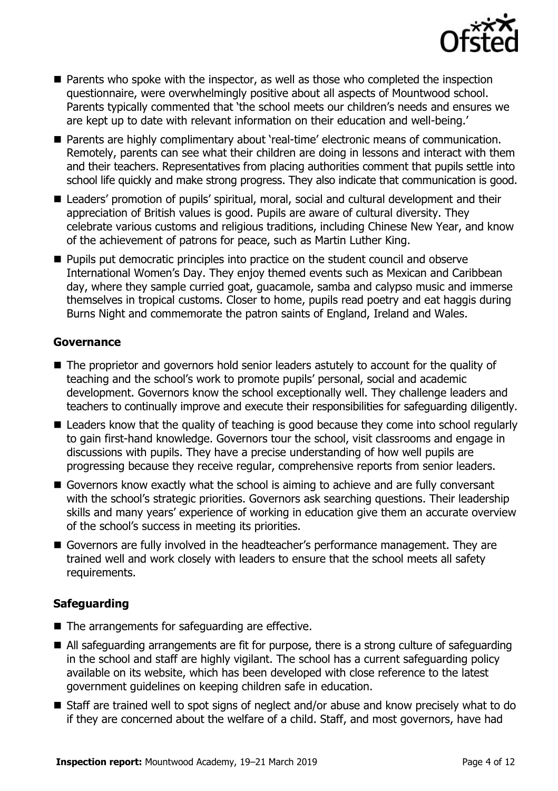

- **Parents who spoke with the inspector, as well as those who completed the inspection** questionnaire, were overwhelmingly positive about all aspects of Mountwood school. Parents typically commented that 'the school meets our children's needs and ensures we are kept up to date with relevant information on their education and well-being.'
- **Parents are highly complimentary about 'real-time' electronic means of communication.** Remotely, parents can see what their children are doing in lessons and interact with them and their teachers. Representatives from placing authorities comment that pupils settle into school life quickly and make strong progress. They also indicate that communication is good.
- Leaders' promotion of pupils' spiritual, moral, social and cultural development and their appreciation of British values is good. Pupils are aware of cultural diversity. They celebrate various customs and religious traditions, including Chinese New Year, and know of the achievement of patrons for peace, such as Martin Luther King.
- **Pupils put democratic principles into practice on the student council and observe** International Women's Day. They enjoy themed events such as Mexican and Caribbean day, where they sample curried goat, guacamole, samba and calypso music and immerse themselves in tropical customs. Closer to home, pupils read poetry and eat haggis during Burns Night and commemorate the patron saints of England, Ireland and Wales.

### **Governance**

- The proprietor and governors hold senior leaders astutely to account for the quality of teaching and the school's work to promote pupils' personal, social and academic development. Governors know the school exceptionally well. They challenge leaders and teachers to continually improve and execute their responsibilities for safeguarding diligently.
- Leaders know that the quality of teaching is good because they come into school regularly to gain first-hand knowledge. Governors tour the school, visit classrooms and engage in discussions with pupils. They have a precise understanding of how well pupils are progressing because they receive regular, comprehensive reports from senior leaders.
- Governors know exactly what the school is aiming to achieve and are fully conversant with the school's strategic priorities. Governors ask searching questions. Their leadership skills and many years' experience of working in education give them an accurate overview of the school's success in meeting its priorities.
- Governors are fully involved in the headteacher's performance management. They are trained well and work closely with leaders to ensure that the school meets all safety requirements.

## **Safeguarding**

- The arrangements for safeguarding are effective.
- All safeguarding arrangements are fit for purpose, there is a strong culture of safeguarding in the school and staff are highly vigilant. The school has a current safeguarding policy available on its website, which has been developed with close reference to the latest government guidelines on keeping children safe in education.
- Staff are trained well to spot signs of neglect and/or abuse and know precisely what to do if they are concerned about the welfare of a child. Staff, and most governors, have had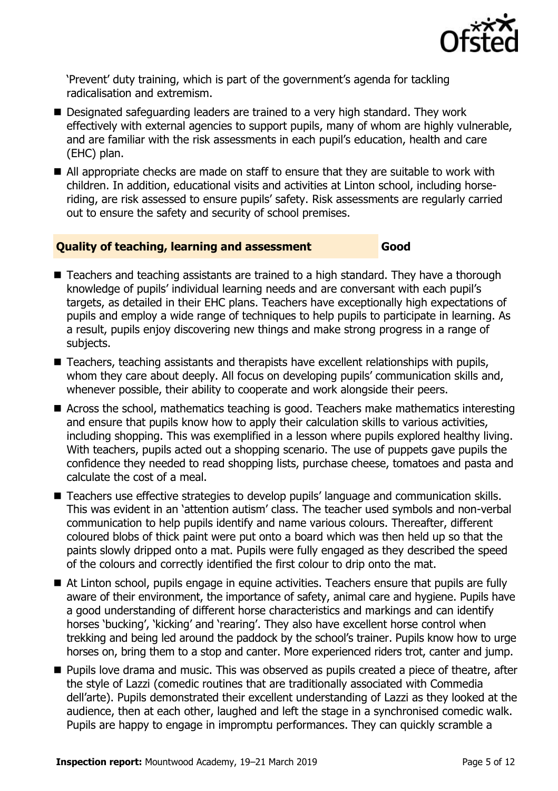

'Prevent' duty training, which is part of the government's agenda for tackling radicalisation and extremism.

- Designated safeguarding leaders are trained to a very high standard. They work effectively with external agencies to support pupils, many of whom are highly vulnerable, and are familiar with the risk assessments in each pupil's education, health and care (EHC) plan.
- All appropriate checks are made on staff to ensure that they are suitable to work with children. In addition, educational visits and activities at Linton school, including horseriding, are risk assessed to ensure pupils' safety. Risk assessments are regularly carried out to ensure the safety and security of school premises.

#### **Quality of teaching, learning and assessment Good**

- Teachers and teaching assistants are trained to a high standard. They have a thorough knowledge of pupils' individual learning needs and are conversant with each pupil's targets, as detailed in their EHC plans. Teachers have exceptionally high expectations of pupils and employ a wide range of techniques to help pupils to participate in learning. As a result, pupils enjoy discovering new things and make strong progress in a range of subjects.
- Teachers, teaching assistants and therapists have excellent relationships with pupils, whom they care about deeply. All focus on developing pupils' communication skills and, whenever possible, their ability to cooperate and work alongside their peers.
- Across the school, mathematics teaching is good. Teachers make mathematics interesting and ensure that pupils know how to apply their calculation skills to various activities, including shopping. This was exemplified in a lesson where pupils explored healthy living. With teachers, pupils acted out a shopping scenario. The use of puppets gave pupils the confidence they needed to read shopping lists, purchase cheese, tomatoes and pasta and calculate the cost of a meal.
- Teachers use effective strategies to develop pupils' language and communication skills. This was evident in an 'attention autism' class. The teacher used symbols and non-verbal communication to help pupils identify and name various colours. Thereafter, different coloured blobs of thick paint were put onto a board which was then held up so that the paints slowly dripped onto a mat. Pupils were fully engaged as they described the speed of the colours and correctly identified the first colour to drip onto the mat.
- At Linton school, pupils engage in equine activities. Teachers ensure that pupils are fully aware of their environment, the importance of safety, animal care and hygiene. Pupils have a good understanding of different horse characteristics and markings and can identify horses 'bucking', 'kicking' and 'rearing'. They also have excellent horse control when trekking and being led around the paddock by the school's trainer. Pupils know how to urge horses on, bring them to a stop and canter. More experienced riders trot, canter and jump.
- **Pupils love drama and music. This was observed as pupils created a piece of theatre, after** the style of Lazzi (comedic routines that are traditionally associated with Commedia dell'arte). Pupils demonstrated their excellent understanding of Lazzi as they looked at the audience, then at each other, laughed and left the stage in a synchronised comedic walk. Pupils are happy to engage in impromptu performances. They can quickly scramble a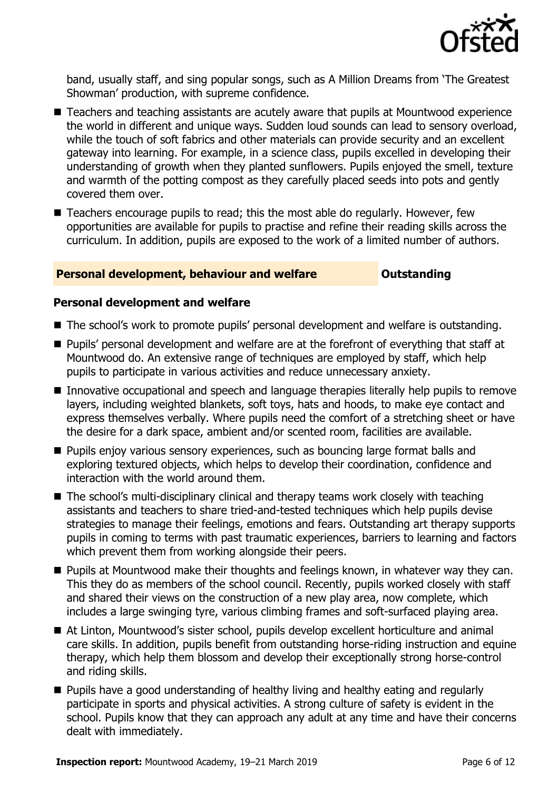

band, usually staff, and sing popular songs, such as A Million Dreams from 'The Greatest Showman' production, with supreme confidence.

- Teachers and teaching assistants are acutely aware that pupils at Mountwood experience the world in different and unique ways. Sudden loud sounds can lead to sensory overload, while the touch of soft fabrics and other materials can provide security and an excellent gateway into learning. For example, in a science class, pupils excelled in developing their understanding of growth when they planted sunflowers. Pupils enjoyed the smell, texture and warmth of the potting compost as they carefully placed seeds into pots and gently covered them over.
- Teachers encourage pupils to read; this the most able do regularly. However, few opportunities are available for pupils to practise and refine their reading skills across the curriculum. In addition, pupils are exposed to the work of a limited number of authors.

#### **Personal development, behaviour and welfare <b>COU COULDER** Outstanding

#### **Personal development and welfare**

- The school's work to promote pupils' personal development and welfare is outstanding.
- **Pupils' personal development and welfare are at the forefront of everything that staff at** Mountwood do. An extensive range of techniques are employed by staff, which help pupils to participate in various activities and reduce unnecessary anxiety.
- Innovative occupational and speech and language therapies literally help pupils to remove layers, including weighted blankets, soft toys, hats and hoods, to make eye contact and express themselves verbally. Where pupils need the comfort of a stretching sheet or have the desire for a dark space, ambient and/or scented room, facilities are available.
- **Pupils enjoy various sensory experiences, such as bouncing large format balls and** exploring textured objects, which helps to develop their coordination, confidence and interaction with the world around them.
- The school's multi-disciplinary clinical and therapy teams work closely with teaching assistants and teachers to share tried-and-tested techniques which help pupils devise strategies to manage their feelings, emotions and fears. Outstanding art therapy supports pupils in coming to terms with past traumatic experiences, barriers to learning and factors which prevent them from working alongside their peers.
- **Pupils at Mountwood make their thoughts and feelings known, in whatever way they can.** This they do as members of the school council. Recently, pupils worked closely with staff and shared their views on the construction of a new play area, now complete, which includes a large swinging tyre, various climbing frames and soft-surfaced playing area.
- At Linton, Mountwood's sister school, pupils develop excellent horticulture and animal care skills. In addition, pupils benefit from outstanding horse-riding instruction and equine therapy, which help them blossom and develop their exceptionally strong horse-control and riding skills.
- Pupils have a good understanding of healthy living and healthy eating and regularly participate in sports and physical activities. A strong culture of safety is evident in the school. Pupils know that they can approach any adult at any time and have their concerns dealt with immediately.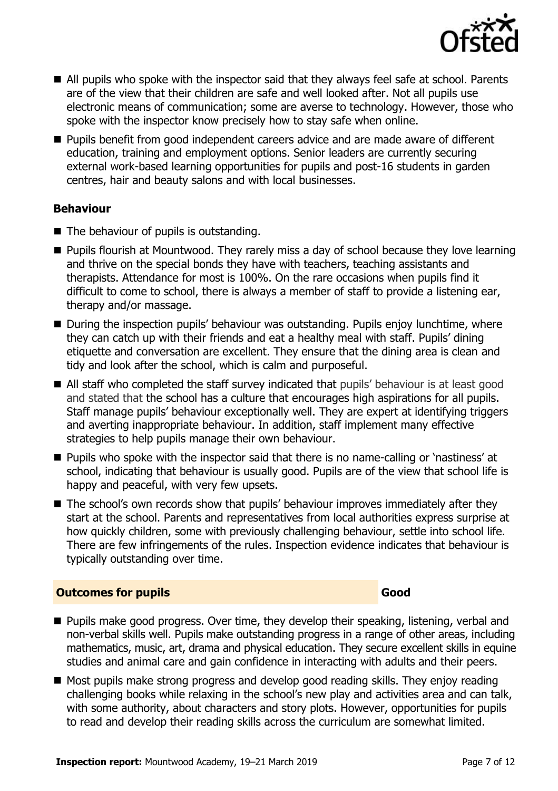

- All pupils who spoke with the inspector said that they always feel safe at school. Parents are of the view that their children are safe and well looked after. Not all pupils use electronic means of communication; some are averse to technology. However, those who spoke with the inspector know precisely how to stay safe when online.
- Pupils benefit from good independent careers advice and are made aware of different education, training and employment options. Senior leaders are currently securing external work-based learning opportunities for pupils and post-16 students in garden centres, hair and beauty salons and with local businesses.

### **Behaviour**

- The behaviour of pupils is outstanding.
- Pupils flourish at Mountwood. They rarely miss a day of school because they love learning and thrive on the special bonds they have with teachers, teaching assistants and therapists. Attendance for most is 100%. On the rare occasions when pupils find it difficult to come to school, there is always a member of staff to provide a listening ear, therapy and/or massage.
- During the inspection pupils' behaviour was outstanding. Pupils enjoy lunchtime, where they can catch up with their friends and eat a healthy meal with staff. Pupils' dining etiquette and conversation are excellent. They ensure that the dining area is clean and tidy and look after the school, which is calm and purposeful.
- All staff who completed the staff survey indicated that pupils' behaviour is at least good and stated that the school has a culture that encourages high aspirations for all pupils. Staff manage pupils' behaviour exceptionally well. They are expert at identifying triggers and averting inappropriate behaviour. In addition, staff implement many effective strategies to help pupils manage their own behaviour.
- **Pupils who spoke with the inspector said that there is no name-calling or 'nastiness' at** school, indicating that behaviour is usually good. Pupils are of the view that school life is happy and peaceful, with very few upsets.
- The school's own records show that pupils' behaviour improves immediately after they start at the school. Parents and representatives from local authorities express surprise at how quickly children, some with previously challenging behaviour, settle into school life. There are few infringements of the rules. Inspection evidence indicates that behaviour is typically outstanding over time.

#### **Outcomes for pupils Good Good**

- **Pupils make good progress. Over time, they develop their speaking, listening, verbal and** non-verbal skills well. Pupils make outstanding progress in a range of other areas, including mathematics, music, art, drama and physical education. They secure excellent skills in equine studies and animal care and gain confidence in interacting with adults and their peers.
- Most pupils make strong progress and develop good reading skills. They enjoy reading challenging books while relaxing in the school's new play and activities area and can talk, with some authority, about characters and story plots. However, opportunities for pupils to read and develop their reading skills across the curriculum are somewhat limited.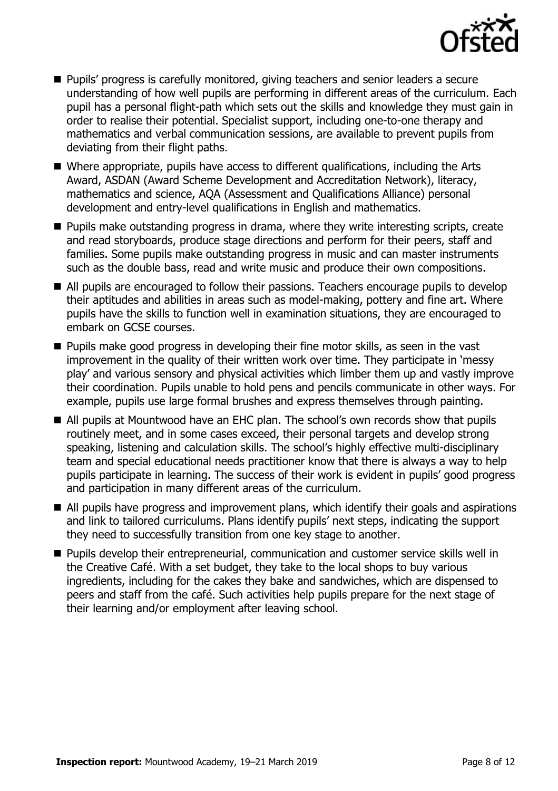

- **Pupils' progress is carefully monitored, giving teachers and senior leaders a secure** understanding of how well pupils are performing in different areas of the curriculum. Each pupil has a personal flight-path which sets out the skills and knowledge they must gain in order to realise their potential. Specialist support, including one-to-one therapy and mathematics and verbal communication sessions, are available to prevent pupils from deviating from their flight paths.
- Where appropriate, pupils have access to different qualifications, including the Arts Award, ASDAN (Award Scheme Development and Accreditation Network), literacy, mathematics and science, AQA (Assessment and Qualifications Alliance) personal development and entry-level qualifications in English and mathematics.
- **Pupils make outstanding progress in drama, where they write interesting scripts, create** and read storyboards, produce stage directions and perform for their peers, staff and families. Some pupils make outstanding progress in music and can master instruments such as the double bass, read and write music and produce their own compositions.
- All pupils are encouraged to follow their passions. Teachers encourage pupils to develop their aptitudes and abilities in areas such as model-making, pottery and fine art. Where pupils have the skills to function well in examination situations, they are encouraged to embark on GCSE courses.
- **Pupils make good progress in developing their fine motor skills, as seen in the vast** improvement in the quality of their written work over time. They participate in 'messy play' and various sensory and physical activities which limber them up and vastly improve their coordination. Pupils unable to hold pens and pencils communicate in other ways. For example, pupils use large formal brushes and express themselves through painting.
- All pupils at Mountwood have an EHC plan. The school's own records show that pupils routinely meet, and in some cases exceed, their personal targets and develop strong speaking, listening and calculation skills. The school's highly effective multi-disciplinary team and special educational needs practitioner know that there is always a way to help pupils participate in learning. The success of their work is evident in pupils' good progress and participation in many different areas of the curriculum.
- All pupils have progress and improvement plans, which identify their goals and aspirations and link to tailored curriculums. Plans identify pupils' next steps, indicating the support they need to successfully transition from one key stage to another.
- **Pupils develop their entrepreneurial, communication and customer service skills well in** the Creative Café. With a set budget, they take to the local shops to buy various ingredients, including for the cakes they bake and sandwiches, which are dispensed to peers and staff from the café. Such activities help pupils prepare for the next stage of their learning and/or employment after leaving school.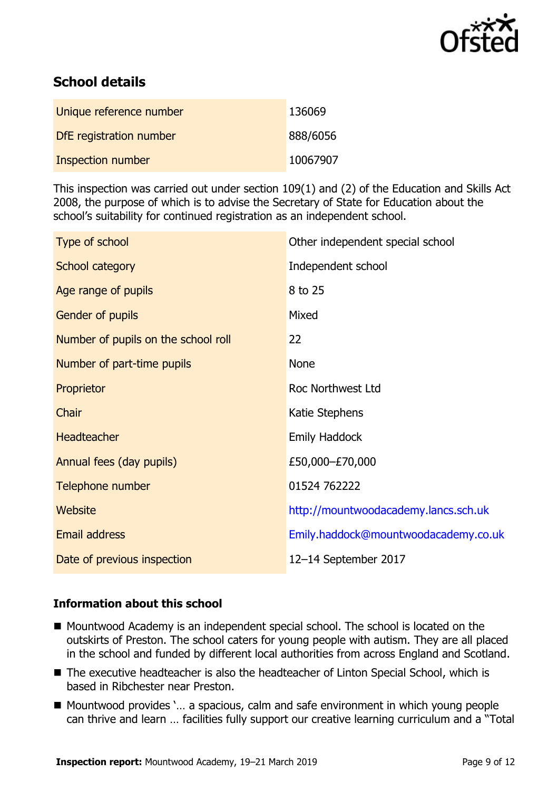

# **School details**

| Unique reference number  | 136069   |
|--------------------------|----------|
| DfE registration number  | 888/6056 |
| <b>Inspection number</b> | 10067907 |

This inspection was carried out under section 109(1) and (2) of the Education and Skills Act 2008, the purpose of which is to advise the Secretary of State for Education about the school's suitability for continued registration as an independent school.

| Type of school                      | Other independent special school     |
|-------------------------------------|--------------------------------------|
| School category                     | Independent school                   |
| Age range of pupils                 | 8 to 25                              |
| Gender of pupils                    | Mixed                                |
| Number of pupils on the school roll | 22                                   |
| Number of part-time pupils          | <b>None</b>                          |
| Proprietor                          | Roc Northwest Ltd                    |
| Chair                               | Katie Stephens                       |
| Headteacher                         | <b>Emily Haddock</b>                 |
| Annual fees (day pupils)            | £50,000-£70,000                      |
| Telephone number                    | 01524 762222                         |
| <b>Website</b>                      | http://mountwoodacademy.lancs.sch.uk |
| <b>Email address</b>                | Emily.haddock@mountwoodacademy.co.uk |
| Date of previous inspection         | 12-14 September 2017                 |

### **Information about this school**

- Mountwood Academy is an independent special school. The school is located on the outskirts of Preston. The school caters for young people with autism. They are all placed in the school and funded by different local authorities from across England and Scotland.
- The executive headteacher is also the headteacher of Linton Special School, which is based in Ribchester near Preston.
- Mountwood provides `... a spacious, calm and safe environment in which young people can thrive and learn … facilities fully support our creative learning curriculum and a "Total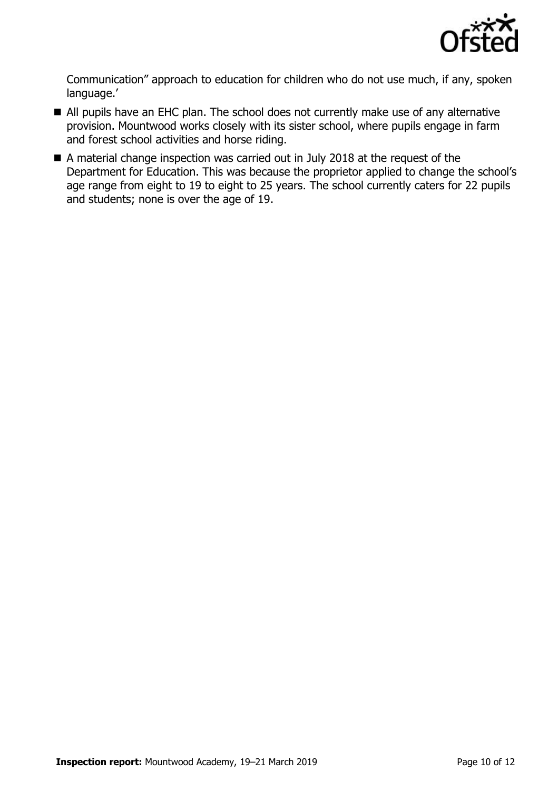

Communication" approach to education for children who do not use much, if any, spoken language.'

- All pupils have an EHC plan. The school does not currently make use of any alternative provision. Mountwood works closely with its sister school, where pupils engage in farm and forest school activities and horse riding.
- A material change inspection was carried out in July 2018 at the request of the Department for Education. This was because the proprietor applied to change the school's age range from eight to 19 to eight to 25 years. The school currently caters for 22 pupils and students; none is over the age of 19.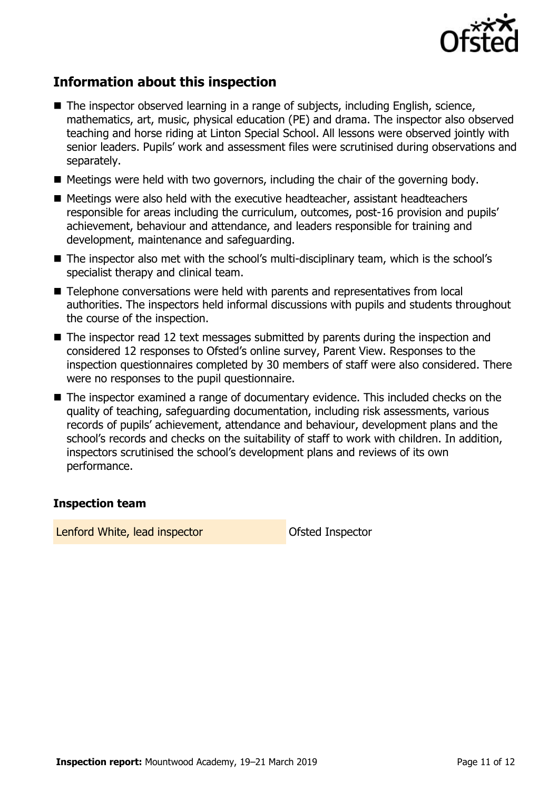

# **Information about this inspection**

- The inspector observed learning in a range of subjects, including English, science, mathematics, art, music, physical education (PE) and drama. The inspector also observed teaching and horse riding at Linton Special School. All lessons were observed jointly with senior leaders. Pupils' work and assessment files were scrutinised during observations and separately.
- $\blacksquare$  Meetings were held with two governors, including the chair of the governing body.
- Meetings were also held with the executive headteacher, assistant headteachers responsible for areas including the curriculum, outcomes, post-16 provision and pupils' achievement, behaviour and attendance, and leaders responsible for training and development, maintenance and safeguarding.
- The inspector also met with the school's multi-disciplinary team, which is the school's specialist therapy and clinical team.
- Telephone conversations were held with parents and representatives from local authorities. The inspectors held informal discussions with pupils and students throughout the course of the inspection.
- The inspector read 12 text messages submitted by parents during the inspection and considered 12 responses to Ofsted's online survey, Parent View. Responses to the inspection questionnaires completed by 30 members of staff were also considered. There were no responses to the pupil questionnaire.
- The inspector examined a range of documentary evidence. This included checks on the quality of teaching, safeguarding documentation, including risk assessments, various records of pupils' achievement, attendance and behaviour, development plans and the school's records and checks on the suitability of staff to work with children. In addition, inspectors scrutinised the school's development plans and reviews of its own performance.

#### **Inspection team**

Lenford White, lead inspector **CERC CONTER CONTEX CONTEX CONTEX CONTEX CONTEX CONTEX CONTEX CONTEX CONTEX CONTEX CONTEX CONTEX CONTEX CONTEX CONTEX CONTEX CONTEX CONTEX CONTEX CONTEX CONTEX CONTEX CONTEX CONTEX CONTEX CONT**